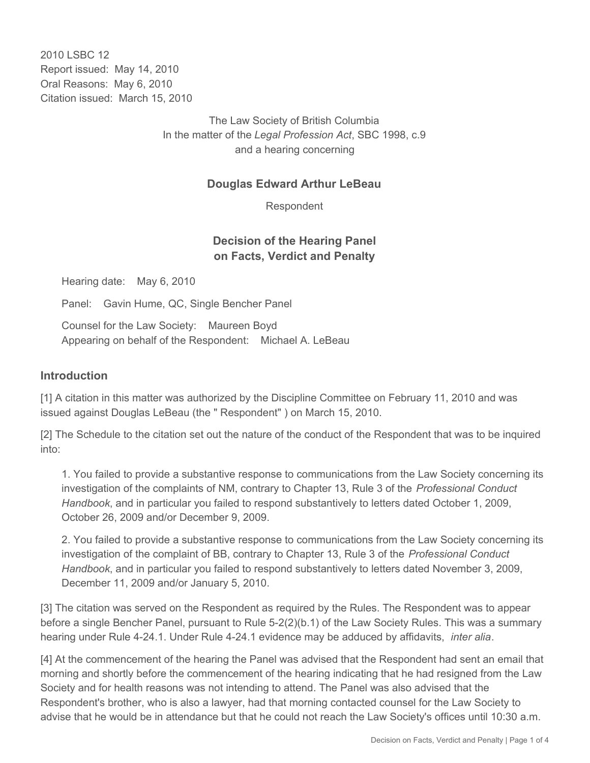2010 LSBC 12 Report issued: May 14, 2010 Oral Reasons: May 6, 2010 Citation issued: March 15, 2010

> The Law Society of British Columbia In the matter of the *Legal Profession Act*, SBC 1998, c.9 and a hearing concerning

### **Douglas Edward Arthur LeBeau**

Respondent

## **Decision of the Hearing Panel on Facts, Verdict and Penalty**

Hearing date: May 6, 2010

Panel: Gavin Hume, QC, Single Bencher Panel

Counsel for the Law Society: Maureen Boyd Appearing on behalf of the Respondent: Michael A. LeBeau

#### **Introduction**

[1] A citation in this matter was authorized by the Discipline Committee on February 11, 2010 and was issued against Douglas LeBeau (the " Respondent" ) on March 15, 2010.

[2] The Schedule to the citation set out the nature of the conduct of the Respondent that was to be inquired into:

1. You failed to provide a substantive response to communications from the Law Society concerning its investigation of the complaints of NM, contrary to Chapter 13, Rule 3 of the *Professional Conduct Handbook*, and in particular you failed to respond substantively to letters dated October 1, 2009, October 26, 2009 and/or December 9, 2009.

2. You failed to provide a substantive response to communications from the Law Society concerning its investigation of the complaint of BB, contrary to Chapter 13, Rule 3 of the *Professional Conduct Handbook*, and in particular you failed to respond substantively to letters dated November 3, 2009, December 11, 2009 and/or January 5, 2010.

[3] The citation was served on the Respondent as required by the Rules. The Respondent was to appear before a single Bencher Panel, pursuant to Rule 5-2(2)(b.1) of the Law Society Rules. This was a summary hearing under Rule 4-24.1. Under Rule 4-24.1 evidence may be adduced by affidavits, *inter alia*.

[4] At the commencement of the hearing the Panel was advised that the Respondent had sent an email that morning and shortly before the commencement of the hearing indicating that he had resigned from the Law Society and for health reasons was not intending to attend. The Panel was also advised that the Respondent's brother, who is also a lawyer, had that morning contacted counsel for the Law Society to advise that he would be in attendance but that he could not reach the Law Society's offices until 10:30 a.m.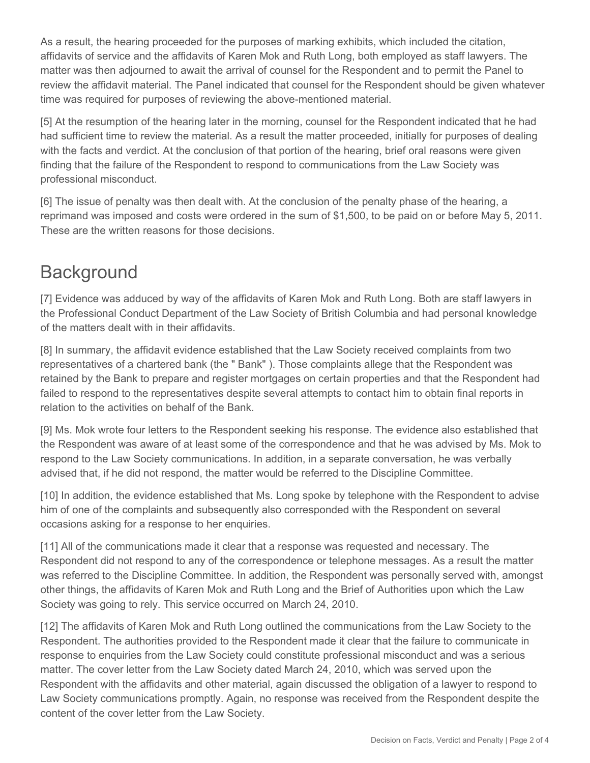As a result, the hearing proceeded for the purposes of marking exhibits, which included the citation, affidavits of service and the affidavits of Karen Mok and Ruth Long, both employed as staff lawyers. The matter was then adjourned to await the arrival of counsel for the Respondent and to permit the Panel to review the affidavit material. The Panel indicated that counsel for the Respondent should be given whatever time was required for purposes of reviewing the above-mentioned material.

[5] At the resumption of the hearing later in the morning, counsel for the Respondent indicated that he had had sufficient time to review the material. As a result the matter proceeded, initially for purposes of dealing with the facts and verdict. At the conclusion of that portion of the hearing, brief oral reasons were given finding that the failure of the Respondent to respond to communications from the Law Society was professional misconduct.

[6] The issue of penalty was then dealt with. At the conclusion of the penalty phase of the hearing, a reprimand was imposed and costs were ordered in the sum of \$1,500, to be paid on or before May 5, 2011. These are the written reasons for those decisions.

# **Background**

[7] Evidence was adduced by way of the affidavits of Karen Mok and Ruth Long. Both are staff lawyers in the Professional Conduct Department of the Law Society of British Columbia and had personal knowledge of the matters dealt with in their affidavits.

[8] In summary, the affidavit evidence established that the Law Society received complaints from two representatives of a chartered bank (the " Bank" ). Those complaints allege that the Respondent was retained by the Bank to prepare and register mortgages on certain properties and that the Respondent had failed to respond to the representatives despite several attempts to contact him to obtain final reports in relation to the activities on behalf of the Bank.

[9] Ms. Mok wrote four letters to the Respondent seeking his response. The evidence also established that the Respondent was aware of at least some of the correspondence and that he was advised by Ms. Mok to respond to the Law Society communications. In addition, in a separate conversation, he was verbally advised that, if he did not respond, the matter would be referred to the Discipline Committee.

[10] In addition, the evidence established that Ms. Long spoke by telephone with the Respondent to advise him of one of the complaints and subsequently also corresponded with the Respondent on several occasions asking for a response to her enquiries.

[11] All of the communications made it clear that a response was requested and necessary. The Respondent did not respond to any of the correspondence or telephone messages. As a result the matter was referred to the Discipline Committee. In addition, the Respondent was personally served with, amongst other things, the affidavits of Karen Mok and Ruth Long and the Brief of Authorities upon which the Law Society was going to rely. This service occurred on March 24, 2010.

[12] The affidavits of Karen Mok and Ruth Long outlined the communications from the Law Society to the Respondent. The authorities provided to the Respondent made it clear that the failure to communicate in response to enquiries from the Law Society could constitute professional misconduct and was a serious matter. The cover letter from the Law Society dated March 24, 2010, which was served upon the Respondent with the affidavits and other material, again discussed the obligation of a lawyer to respond to Law Society communications promptly. Again, no response was received from the Respondent despite the content of the cover letter from the Law Society.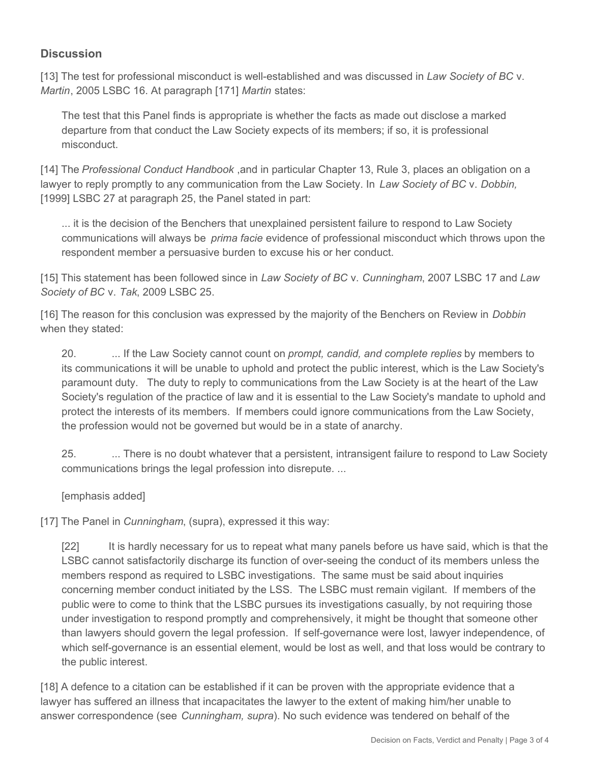# **Discussion**

[13] The test for professional misconduct is well-established and was discussed in *Law Society of BC* v. *Martin*, 2005 LSBC 16. At paragraph [171] *Martin* states:

The test that this Panel finds is appropriate is whether the facts as made out disclose a marked departure from that conduct the Law Society expects of its members; if so, it is professional misconduct.

[14] The *Professional Conduct Handbook* ,and in particular Chapter 13, Rule 3, places an obligation on a lawyer to reply promptly to any communication from the Law Society. In *Law Society of BC* v. *Dobbin,* [1999] LSBC 27 at paragraph 25, the Panel stated in part:

... it is the decision of the Benchers that unexplained persistent failure to respond to Law Society communications will always be *prima facie* evidence of professional misconduct which throws upon the respondent member a persuasive burden to excuse his or her conduct.

[15] This statement has been followed since in *Law Society of BC* v. *Cunningham*, 2007 LSBC 17 and *Law Society of BC* v. *Tak*, 2009 LSBC 25.

[16] The reason for this conclusion was expressed by the majority of the Benchers on Review in *Dobbin* when they stated:

20. ... If the Law Society cannot count on *prompt, candid, and complete replies* by members to its communications it will be unable to uphold and protect the public interest, which is the Law Society's paramount duty. The duty to reply to communications from the Law Society is at the heart of the Law Society's regulation of the practice of law and it is essential to the Law Society's mandate to uphold and protect the interests of its members. If members could ignore communications from the Law Society, the profession would not be governed but would be in a state of anarchy.

25. ... There is no doubt whatever that a persistent, intransigent failure to respond to Law Society communications brings the legal profession into disrepute. ...

### [emphasis added]

[17] The Panel in *Cunningham*, (supra), expressed it this way:

[22] It is hardly necessary for us to repeat what many panels before us have said, which is that the LSBC cannot satisfactorily discharge its function of over-seeing the conduct of its members unless the members respond as required to LSBC investigations. The same must be said about inquiries concerning member conduct initiated by the LSS. The LSBC must remain vigilant. If members of the public were to come to think that the LSBC pursues its investigations casually, by not requiring those under investigation to respond promptly and comprehensively, it might be thought that someone other than lawyers should govern the legal profession. If self-governance were lost, lawyer independence, of which self-governance is an essential element, would be lost as well, and that loss would be contrary to the public interest.

[18] A defence to a citation can be established if it can be proven with the appropriate evidence that a lawyer has suffered an illness that incapacitates the lawyer to the extent of making him/her unable to answer correspondence (see *Cunningham, supra*). No such evidence was tendered on behalf of the